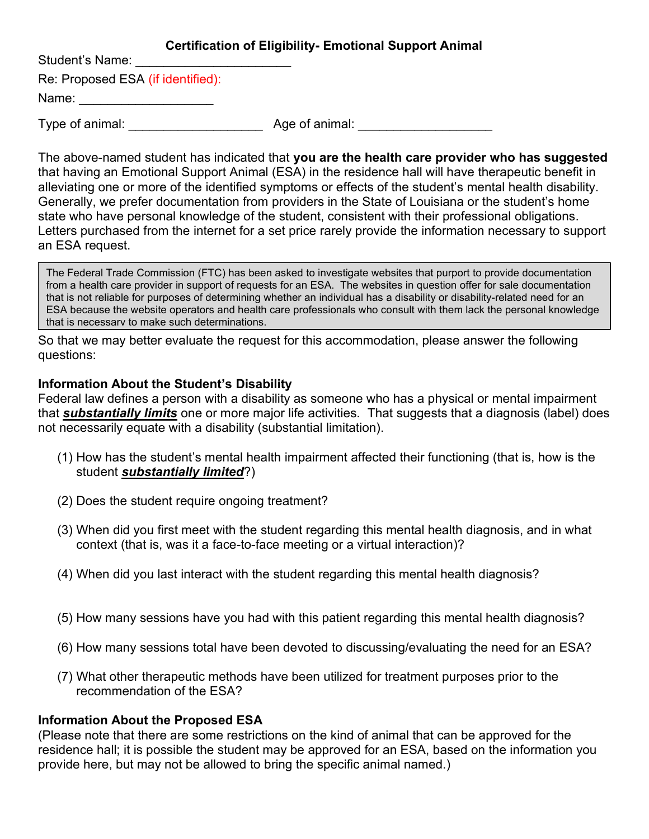## Certification of Eligibility- Emotional Support Animal

Student's Name:

Re: Proposed ESA (if identified):

Name: \_\_\_\_\_\_\_\_\_\_\_\_\_\_\_\_\_\_\_

Type of animal: Type of animal:  $\Box$  Age of animal:

The above-named student has indicated that you are the health care provider who has suggested that having an Emotional Support Animal (ESA) in the residence hall will have therapeutic benefit in alleviating one or more of the identified symptoms or effects of the student's mental health disability. Generally, we prefer documentation from providers in the State of Louisiana or the student's home state who have personal knowledge of the student, consistent with their professional obligations. Letters purchased from the internet for a set price rarely provide the information necessary to support an ESA request.

The Federal Trade Commission (FTC) has been asked to investigate websites that purport to provide documentation from a health care provider in support of requests for an ESA. The websites in question offer for sale documentation that is not reliable for purposes of determining whether an individual has a disability or disability-related need for an ESA because the website operators and health care professionals who consult with them lack the personal knowledge that is necessary to make such determinations.

So that we may better evaluate the request for this accommodation, please answer the following questions:

## Information About the Student's Disability

Federal law defines a person with a disability as someone who has a physical or mental impairment that **substantially limits** one or more major life activities. That suggests that a diagnosis (label) does not necessarily equate with a disability (substantial limitation).

- (1) How has the student's mental health impairment affected their functioning (that is, how is the student substantially limited?)
- (2) Does the student require ongoing treatment?
- (3) When did you first meet with the student regarding this mental health diagnosis, and in what context (that is, was it a face-to-face meeting or a virtual interaction)?
- (4) When did you last interact with the student regarding this mental health diagnosis?
- (5) How many sessions have you had with this patient regarding this mental health diagnosis?
- (6) How many sessions total have been devoted to discussing/evaluating the need for an ESA?
- (7) What other therapeutic methods have been utilized for treatment purposes prior to the recommendation of the ESA?

## Information About the Proposed ESA

(Please note that there are some restrictions on the kind of animal that can be approved for the residence hall; it is possible the student may be approved for an ESA, based on the information you provide here, but may not be allowed to bring the specific animal named.)